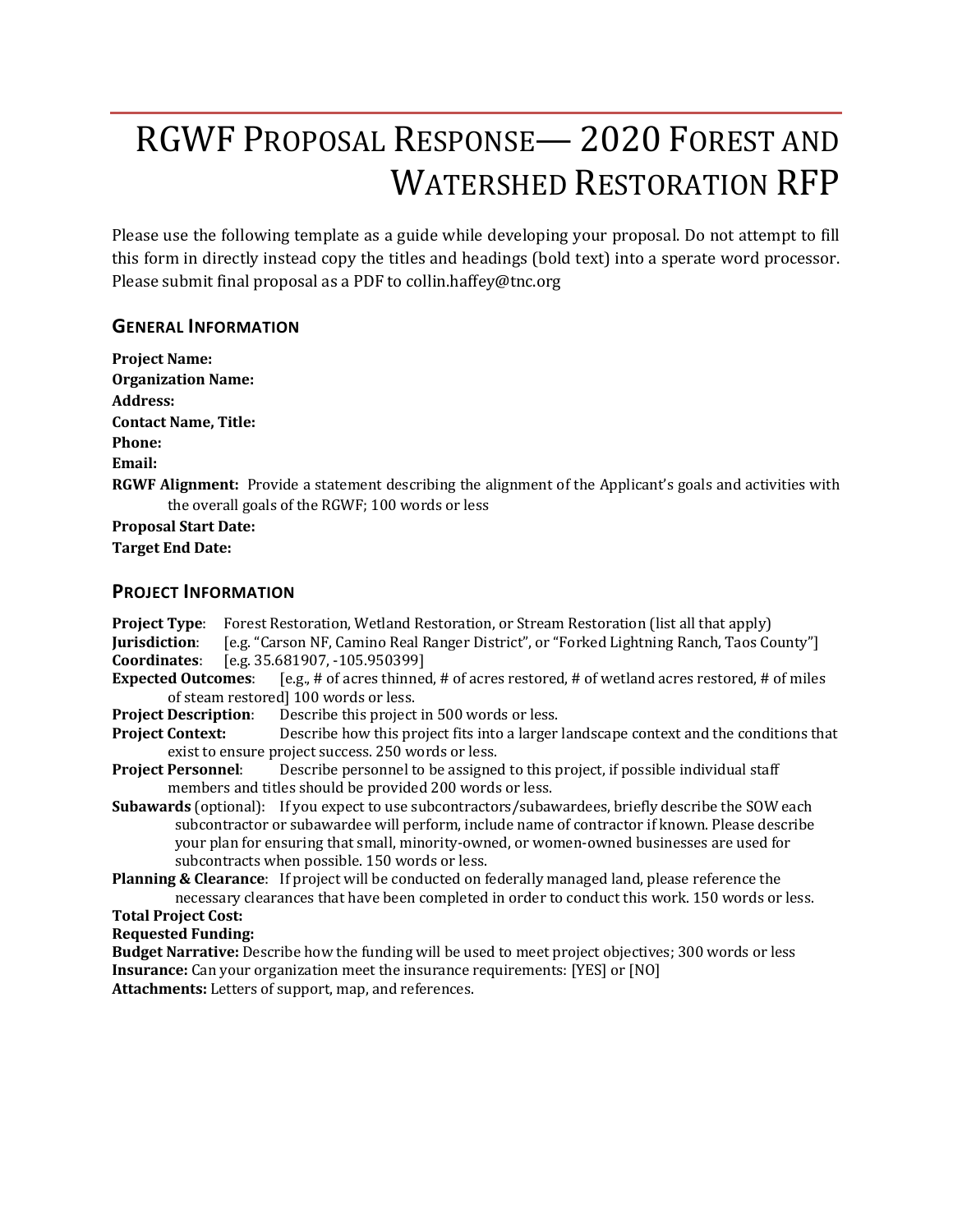# RGWF PROPOSAL RESPONSE— 2020 FOREST AND WATERSHED RESTORATION RFP

Please use the following template as a guide while developing your proposal. Do not attempt to fill this form in directly instead copy the titles and headings (bold text) into a sperate word processor. Please submit final proposal as a PDF to collin.haffey@tnc.org

#### **GENERAL INFORMATION**

**Project Name: Organization Name: Address: Contact Name, Title: Phone: Email: RGWF Alignment:** Provide a statement describing the alignment of the Applicant's goals and activities with the overall goals of the RGWF; 100 words or less **Proposal Start Date: Target End Date:** 

#### **PROJECT INFORMATION**

- **Project Type:** Forest Restoration, Wetland Restoration, or Stream Restoration (list all that apply) **Jurisdiction**: [e.g. "Carson NF, Camino Real Ranger District", or "Forked Lightning Ranch, Taos County"] **Coordinates**: [e.g. 35.681907, -105.950399] **Expected Outcomes:** [e.g., # of acres thinned, # of acres restored, # of wetland acres restored, # of miles of steam restored] 100 words or less. **Project Description:** Describe this project in 500 words or less. **Project Context:** Describe how this project fits into a larger landscape context and the conditions that exist to ensure project success. 250 words or less.
- **Project Personnel:** Describe personnel to be assigned to this project, if possible individual staff members and titles should be provided 200 words or less.
- **Subawards** (optional): If you expect to use subcontractors/subawardees, briefly describe the SOW each subcontractor or subawardee will perform, include name of contractor if known. Please describe your plan for ensuring that small, minority-owned, or women-owned businesses are used for subcontracts when possible. 150 words or less.
- **Planning & Clearance:** If project will be conducted on federally managed land, please reference the necessary clearances that have been completed in order to conduct this work. 150 words or less. **Total Project Cost:**

**Requested Funding:**

**Budget Narrative:** Describe how the funding will be used to meet project objectives; 300 words or less **Insurance:** Can your organization meet the insurance requirements: [YES] or [NO] Attachments: Letters of support, map, and references.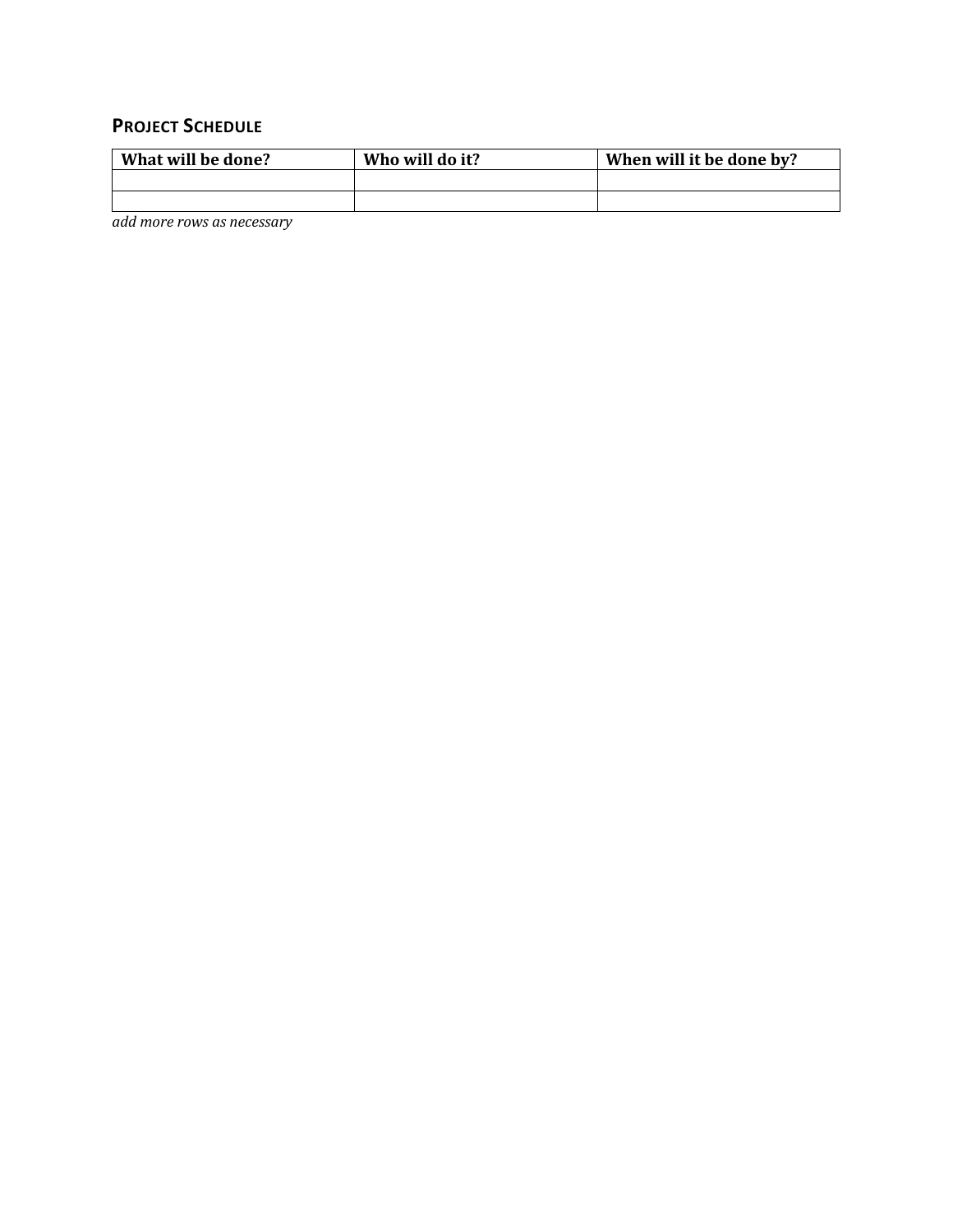### **PROJECT SCHEDULE**

| What will be done? | Who will do it? | When will it be done by? |  |  |
|--------------------|-----------------|--------------------------|--|--|
|                    |                 |                          |  |  |
|                    |                 |                          |  |  |

*add more rows as necessary*